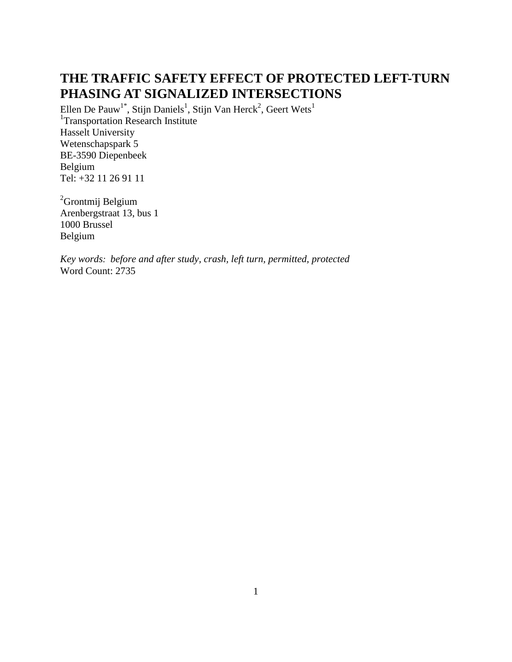# **THE TRAFFIC SAFETY EFFECT OF PROTECTED LEFT-TURN PHASING AT SIGNALIZED INTERSECTIONS**

Ellen De Pauw<sup>1\*</sup>, Stijn Daniels<sup>1</sup>, Stijn Van Herck<sup>2</sup>, Geert Wets<sup>1</sup> <sup>1</sup>Transportation Research Institute Hasselt University Wetenschapspark 5 BE-3590 Diepenbeek Belgium Tel: +32 11 26 91 11

<sup>2</sup>Grontmij Belgium Arenbergstraat 13, bus 1 1000 Brussel Belgium

*Key words: before and after study, crash, left turn, permitted, protected* Word Count: 2735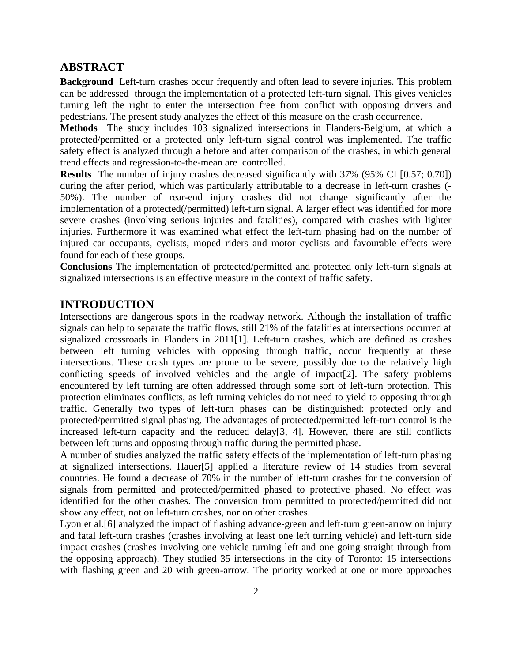# **ABSTRACT**

**Background** Left-turn crashes occur frequently and often lead to severe injuries. This problem can be addressed through the implementation of a protected left-turn signal. This gives vehicles turning left the right to enter the intersection free from conflict with opposing drivers and pedestrians. The present study analyzes the effect of this measure on the crash occurrence.

**Methods** The study includes 103 signalized intersections in Flanders-Belgium, at which a protected/permitted or a protected only left-turn signal control was implemented. The traffic safety effect is analyzed through a before and after comparison of the crashes, in which general trend effects and regression-to-the-mean are controlled.

**Results** The number of injury crashes decreased significantly with 37% (95% CI [0.57; 0.70]) during the after period, which was particularly attributable to a decrease in left-turn crashes (- 50%). The number of rear-end injury crashes did not change significantly after the implementation of a protected(/permitted) left-turn signal. A larger effect was identified for more severe crashes (involving serious injuries and fatalities), compared with crashes with lighter injuries. Furthermore it was examined what effect the left-turn phasing had on the number of injured car occupants, cyclists, moped riders and motor cyclists and favourable effects were found for each of these groups.

**Conclusions** The implementation of protected/permitted and protected only left-turn signals at signalized intersections is an effective measure in the context of traffic safety.

# **INTRODUCTION**

Intersections are dangerous spots in the roadway network. Although the installation of traffic signals can help to separate the traffic flows, still 21% of the fatalities at intersections occurred at signalized crossroads in Flanders in 2011[1]. Left-turn crashes, which are defined as crashes between left turning vehicles with opposing through traffic, occur frequently at these intersections. These crash types are prone to be severe, possibly due to the relatively high conflicting speeds of involved vehicles and the angle of impact[2]. The safety problems encountered by left turning are often addressed through some sort of left-turn protection. This protection eliminates conflicts, as left turning vehicles do not need to yield to opposing through traffic. Generally two types of left-turn phases can be distinguished: protected only and protected/permitted signal phasing. The advantages of protected/permitted left-turn control is the increased left-turn capacity and the reduced delay[3, 4]. However, there are still conflicts between left turns and opposing through traffic during the permitted phase.

A number of studies analyzed the traffic safety effects of the implementation of left-turn phasing at signalized intersections. Hauer[5] applied a literature review of 14 studies from several countries. He found a decrease of 70% in the number of left-turn crashes for the conversion of signals from permitted and protected/permitted phased to protective phased. No effect was identified for the other crashes. The conversion from permitted to protected/permitted did not show any effect, not on left-turn crashes, nor on other crashes.

Lyon et al.[6] analyzed the impact of flashing advance-green and left-turn green-arrow on injury and fatal left-turn crashes (crashes involving at least one left turning vehicle) and left-turn side impact crashes (crashes involving one vehicle turning left and one going straight through from the opposing approach). They studied 35 intersections in the city of Toronto: 15 intersections with flashing green and 20 with green-arrow. The priority worked at one or more approaches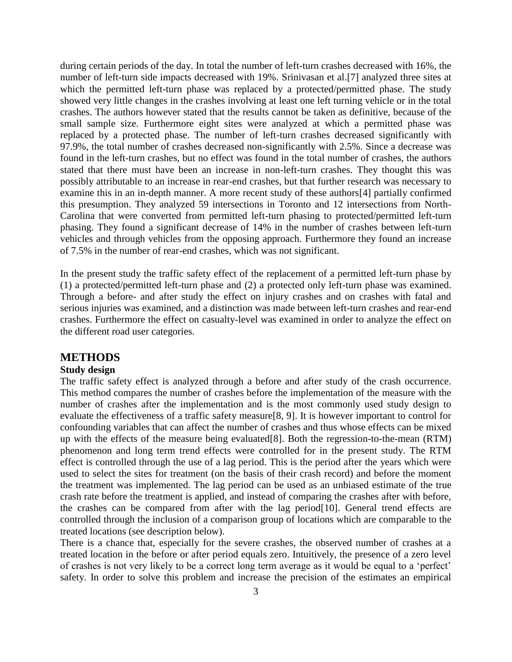during certain periods of the day. In total the number of left-turn crashes decreased with 16%, the number of left-turn side impacts decreased with 19%. Srinivasan et al.[7] analyzed three sites at which the permitted left-turn phase was replaced by a protected/permitted phase. The study showed very little changes in the crashes involving at least one left turning vehicle or in the total crashes. The authors however stated that the results cannot be taken as definitive, because of the small sample size. Furthermore eight sites were analyzed at which a permitted phase was replaced by a protected phase. The number of left-turn crashes decreased significantly with 97.9%, the total number of crashes decreased non-significantly with 2.5%. Since a decrease was found in the left-turn crashes, but no effect was found in the total number of crashes, the authors stated that there must have been an increase in non-left-turn crashes. They thought this was possibly attributable to an increase in rear-end crashes, but that further research was necessary to examine this in an in-depth manner. A more recent study of these authors[4] partially confirmed this presumption. They analyzed 59 intersections in Toronto and 12 intersections from North-Carolina that were converted from permitted left-turn phasing to protected/permitted left-turn phasing. They found a significant decrease of 14% in the number of crashes between left-turn vehicles and through vehicles from the opposing approach. Furthermore they found an increase of 7.5% in the number of rear-end crashes, which was not significant.

In the present study the traffic safety effect of the replacement of a permitted left-turn phase by (1) a protected/permitted left-turn phase and (2) a protected only left-turn phase was examined. Through a before- and after study the effect on injury crashes and on crashes with fatal and serious injuries was examined, and a distinction was made between left-turn crashes and rear-end crashes. Furthermore the effect on casualty-level was examined in order to analyze the effect on the different road user categories.

### **METHODS**

### **Study design**

The traffic safety effect is analyzed through a before and after study of the crash occurrence. This method compares the number of crashes before the implementation of the measure with the number of crashes after the implementation and is the most commonly used study design to evaluate the effectiveness of a traffic safety measure[8, 9]. It is however important to control for confounding variables that can affect the number of crashes and thus whose effects can be mixed up with the effects of the measure being evaluated[8]. Both the regression-to-the-mean (RTM) phenomenon and long term trend effects were controlled for in the present study. The RTM effect is controlled through the use of a lag period. This is the period after the years which were used to select the sites for treatment (on the basis of their crash record) and before the moment the treatment was implemented. The lag period can be used as an unbiased estimate of the true crash rate before the treatment is applied, and instead of comparing the crashes after with before, the crashes can be compared from after with the lag period[10]. General trend effects are controlled through the inclusion of a comparison group of locations which are comparable to the treated locations (see description below).

There is a chance that, especially for the severe crashes, the observed number of crashes at a treated location in the before or after period equals zero. Intuitively, the presence of a zero level of crashes is not very likely to be a correct long term average as it would be equal to a 'perfect' safety. In order to solve this problem and increase the precision of the estimates an empirical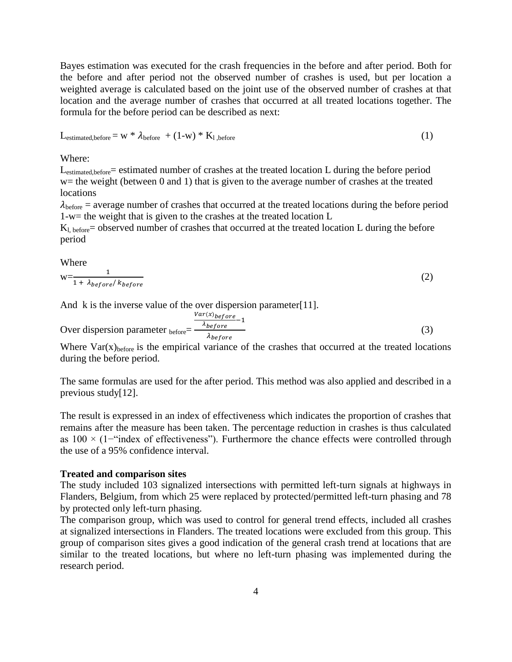Bayes estimation was executed for the crash frequencies in the before and after period. Both for the before and after period not the observed number of crashes is used, but per location a weighted average is calculated based on the joint use of the observed number of crashes at that location and the average number of crashes that occurred at all treated locations together. The formula for the before period can be described as next:

$$
L_{\text{estimated,before}} = w * \lambda_{\text{before}} + (1-w) * K_{1,\text{before}} \tag{1}
$$

Where:

L<sub>estimated, before</sub> = estimated number of crashes at the treated location L during the before period  $w=$  the weight (between 0 and 1) that is given to the average number of crashes at the treated locations

 $\lambda_{\text{before}}$  = average number of crashes that occurred at the treated locations during the before period 1-w= the weight that is given to the crashes at the treated location L

 $K_l$ , before = observed number of crashes that occurred at the treated location L during the before period

Where

$$
w = \frac{1}{1 + \lambda_{before} / k_{before}}
$$
 (2)

And k is the inverse value of the over dispersion parameter[11].

Over dispersion parameter before= V  $\frac{\lambda_{before}}{\lambda_{before}}$ λ (3)

Where  $Var(x)_{before}$  is the empirical variance of the crashes that occurred at the treated locations during the before period.

The same formulas are used for the after period. This method was also applied and described in a previous study[12].

The result is expressed in an index of effectiveness which indicates the proportion of crashes that remains after the measure has been taken. The percentage reduction in crashes is thus calculated as 100 × (1−"index of effectiveness"). Furthermore the chance effects were controlled through the use of a 95% confidence interval.

### **Treated and comparison sites**

The study included 103 signalized intersections with permitted left-turn signals at highways in Flanders, Belgium, from which 25 were replaced by protected/permitted left-turn phasing and 78 by protected only left-turn phasing.

The comparison group, which was used to control for general trend effects, included all crashes at signalized intersections in Flanders. The treated locations were excluded from this group. This group of comparison sites gives a good indication of the general crash trend at locations that are similar to the treated locations, but where no left-turn phasing was implemented during the research period.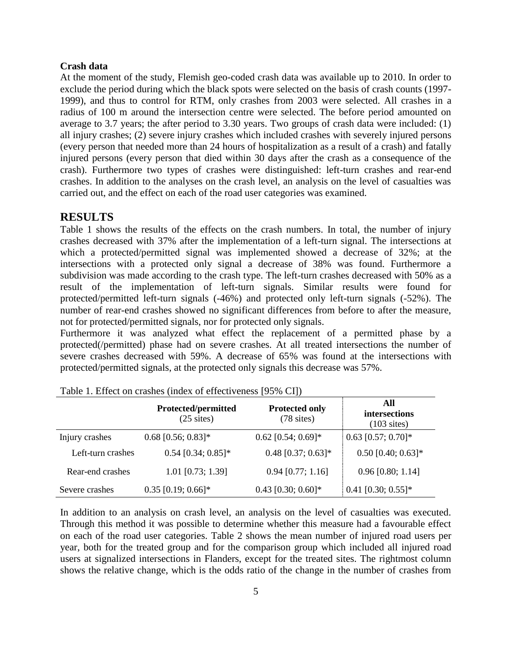### **Crash data**

At the moment of the study, Flemish geo-coded crash data was available up to 2010. In order to exclude the period during which the black spots were selected on the basis of crash counts (1997- 1999), and thus to control for RTM, only crashes from 2003 were selected. All crashes in a radius of 100 m around the intersection centre were selected. The before period amounted on average to 3.7 years; the after period to 3.30 years. Two groups of crash data were included: (1) all injury crashes; (2) severe injury crashes which included crashes with severely injured persons (every person that needed more than 24 hours of hospitalization as a result of a crash) and fatally injured persons (every person that died within 30 days after the crash as a consequence of the crash). Furthermore two types of crashes were distinguished: left-turn crashes and rear-end crashes. In addition to the analyses on the crash level, an analysis on the level of casualties was carried out, and the effect on each of the road user categories was examined.

# **RESULTS**

Table 1 shows the results of the effects on the crash numbers. In total, the number of injury crashes decreased with 37% after the implementation of a left-turn signal. The intersections at which a protected/permitted signal was implemented showed a decrease of 32%; at the intersections with a protected only signal a decrease of 38% was found. Furthermore a subdivision was made according to the crash type. The left-turn crashes decreased with 50% as a result of the implementation of left-turn signals. Similar results were found for protected/permitted left-turn signals (-46%) and protected only left-turn signals (-52%). The number of rear-end crashes showed no significant differences from before to after the measure, not for protected/permitted signals, nor for protected only signals.

Furthermore it was analyzed what effect the replacement of a permitted phase by a protected(/permitted) phase had on severe crashes. At all treated intersections the number of severe crashes decreased with 59%. A decrease of 65% was found at the intersections with protected/permitted signals, at the protected only signals this decrease was 57%.

|                   | Protected/permitted<br>$(25 \text{ sites})$ | <b>Protected only</b><br>$(78$ sites) | All<br>intersections<br>$(103 \text{ sites})$ |
|-------------------|---------------------------------------------|---------------------------------------|-----------------------------------------------|
| Injury crashes    | $0.68$ [0.56; 0.83]*                        | $0.62$ [0.54; 0.69]*                  | $0.63$ [0.57; 0.70]*                          |
| Left-turn crashes | $0.54$ [0.34; 0.85]*                        | $0.48$ [0.37; 0.63]*                  | $0.50$ [0.40; 0.63]*                          |
| Rear-end crashes  | $1.01$ [0.73; 1.39]                         | $0.94$ [0.77; 1.16]                   | $0.96$ [0.80; 1.14]                           |
| Severe crashes    | $0.35$ [0.19; 0.66]*                        | $0.43$ [0.30; 0.60]*                  | $0.41$ [0.30; 0.55]*                          |

Table 1. Effect on crashes (index of effectiveness [95% CI])

In addition to an analysis on crash level, an analysis on the level of casualties was executed. Through this method it was possible to determine whether this measure had a favourable effect on each of the road user categories. Table 2 shows the mean number of injured road users per year, both for the treated group and for the comparison group which included all injured road users at signalized intersections in Flanders, except for the treated sites. The rightmost column shows the relative change, which is the odds ratio of the change in the number of crashes from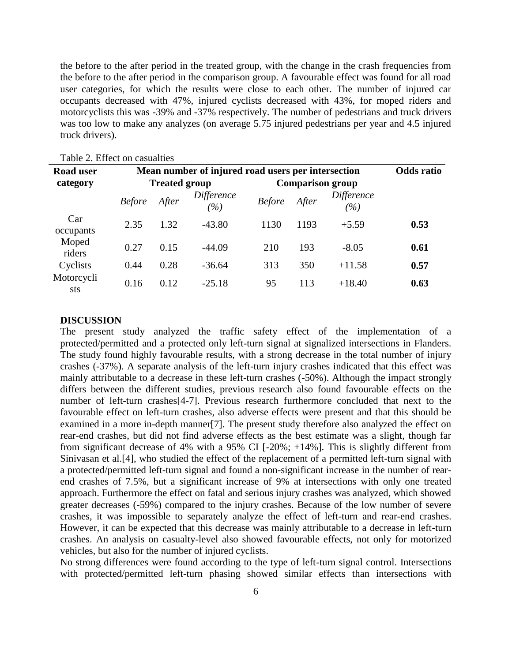the before to the after period in the treated group, with the change in the crash frequencies from the before to the after period in the comparison group. A favourable effect was found for all road user categories, for which the results were close to each other. The number of injured car occupants decreased with 47%, injured cyclists decreased with 43%, for moped riders and motorcyclists this was -39% and -37% respectively. The number of pedestrians and truck drivers was too low to make any analyzes (on average 5.75 injured pedestrians per year and 4.5 injured truck drivers).

| <b>Road user</b>  | Mean number of injured road users per intersection | <b>Odds</b> ratio    |                   |               |                         |                   |      |
|-------------------|----------------------------------------------------|----------------------|-------------------|---------------|-------------------------|-------------------|------|
| category          |                                                    | <b>Treated group</b> |                   |               | <b>Comparison group</b> |                   |      |
|                   | <b>Before</b>                                      | After                | Difference<br>(%) | <b>Before</b> | After                   | Difference<br>(%) |      |
| Car<br>occupants  | 2.35                                               | 1.32                 | $-43.80$          | 1130          | 1193                    | $+5.59$           | 0.53 |
| Moped<br>riders   | 0.27                                               | 0.15                 | $-44.09$          | 210           | 193                     | $-8.05$           | 0.61 |
| Cyclists          | 0.44                                               | 0.28                 | $-36.64$          | 313           | 350                     | $+11.58$          | 0.57 |
| Motorcycli<br>sts | 0.16                                               | 0.12                 | $-25.18$          | 95            | 113                     | $+18.40$          | 0.63 |

### Table 2. Effect on casualties

#### **DISCUSSION**

The present study analyzed the traffic safety effect of the implementation of a protected/permitted and a protected only left-turn signal at signalized intersections in Flanders. The study found highly favourable results, with a strong decrease in the total number of injury crashes (-37%). A separate analysis of the left-turn injury crashes indicated that this effect was mainly attributable to a decrease in these left-turn crashes (-50%). Although the impact strongly differs between the different studies, previous research also found favourable effects on the number of left-turn crashes[4-7]. Previous research furthermore concluded that next to the favourable effect on left-turn crashes, also adverse effects were present and that this should be examined in a more in-depth manner[7]. The present study therefore also analyzed the effect on rear-end crashes, but did not find adverse effects as the best estimate was a slight, though far from significant decrease of 4% with a 95% CI [-20%; +14%]. This is slightly different from Sinivasan et al.[4], who studied the effect of the replacement of a permitted left-turn signal with a protected/permitted left-turn signal and found a non-significant increase in the number of rearend crashes of 7.5%, but a significant increase of 9% at intersections with only one treated approach. Furthermore the effect on fatal and serious injury crashes was analyzed, which showed greater decreases (-59%) compared to the injury crashes. Because of the low number of severe crashes, it was impossible to separately analyze the effect of left-turn and rear-end crashes. However, it can be expected that this decrease was mainly attributable to a decrease in left-turn crashes. An analysis on casualty-level also showed favourable effects, not only for motorized vehicles, but also for the number of injured cyclists.

No strong differences were found according to the type of left-turn signal control. Intersections with protected/permitted left-turn phasing showed similar effects than intersections with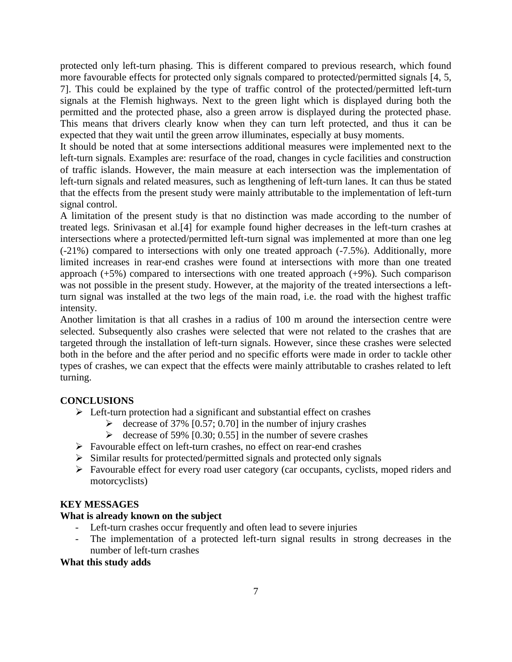protected only left-turn phasing. This is different compared to previous research, which found more favourable effects for protected only signals compared to protected/permitted signals [4, 5, 7]. This could be explained by the type of traffic control of the protected/permitted left-turn signals at the Flemish highways. Next to the green light which is displayed during both the permitted and the protected phase, also a green arrow is displayed during the protected phase. This means that drivers clearly know when they can turn left protected, and thus it can be expected that they wait until the green arrow illuminates, especially at busy moments.

It should be noted that at some intersections additional measures were implemented next to the left-turn signals. Examples are: resurface of the road, changes in cycle facilities and construction of traffic islands. However, the main measure at each intersection was the implementation of left-turn signals and related measures, such as lengthening of left-turn lanes. It can thus be stated that the effects from the present study were mainly attributable to the implementation of left-turn signal control.

A limitation of the present study is that no distinction was made according to the number of treated legs. Srinivasan et al.[4] for example found higher decreases in the left-turn crashes at intersections where a protected/permitted left-turn signal was implemented at more than one leg (-21%) compared to intersections with only one treated approach (-7.5%). Additionally, more limited increases in rear-end crashes were found at intersections with more than one treated approach (+5%) compared to intersections with one treated approach (+9%). Such comparison was not possible in the present study. However, at the majority of the treated intersections a leftturn signal was installed at the two legs of the main road, i.e. the road with the highest traffic intensity.

Another limitation is that all crashes in a radius of 100 m around the intersection centre were selected. Subsequently also crashes were selected that were not related to the crashes that are targeted through the installation of left-turn signals. However, since these crashes were selected both in the before and the after period and no specific efforts were made in order to tackle other types of crashes, we can expect that the effects were mainly attributable to crashes related to left turning.

# **CONCLUSIONS**

- $\triangleright$  Left-turn protection had a significant and substantial effect on crashes
	- $\geq$  decrease of 37% [0.57; 0.70] in the number of injury crashes
	- $\geq$  decrease of 59% [0.30; 0.55] in the number of severe crashes
- $\triangleright$  Favourable effect on left-turn crashes, no effect on rear-end crashes
- $\triangleright$  Similar results for protected/permitted signals and protected only signals
- Favourable effect for every road user category (car occupants, cyclists, moped riders and motorcyclists)

# **KEY MESSAGES**

# **What is already known on the subject**

- Left-turn crashes occur frequently and often lead to severe injuries
- The implementation of a protected left-turn signal results in strong decreases in the number of left-turn crashes

# **What this study adds**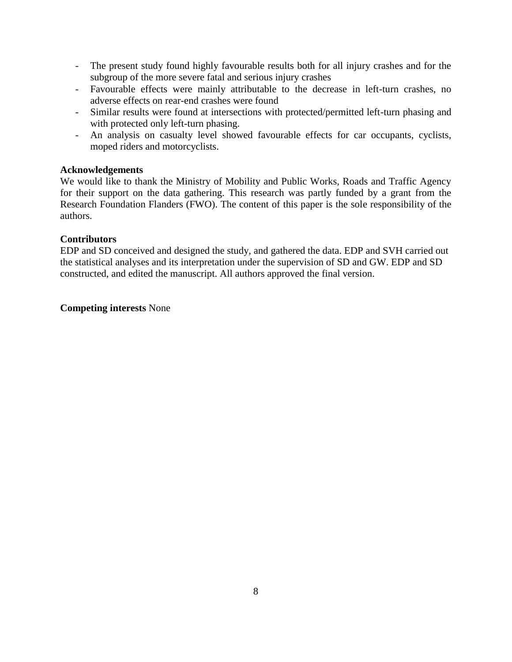- The present study found highly favourable results both for all injury crashes and for the subgroup of the more severe fatal and serious injury crashes
- Favourable effects were mainly attributable to the decrease in left-turn crashes, no adverse effects on rear-end crashes were found
- Similar results were found at intersections with protected/permitted left-turn phasing and with protected only left-turn phasing.
- An analysis on casualty level showed favourable effects for car occupants, cyclists, moped riders and motorcyclists.

# **Acknowledgements**

We would like to thank the Ministry of Mobility and Public Works, Roads and Traffic Agency for their support on the data gathering. This research was partly funded by a grant from the Research Foundation Flanders (FWO). The content of this paper is the sole responsibility of the authors.

### **Contributors**

EDP and SD conceived and designed the study, and gathered the data. EDP and SVH carried out the statistical analyses and its interpretation under the supervision of SD and GW. EDP and SD constructed, and edited the manuscript. All authors approved the final version.

### **Competing interests** None